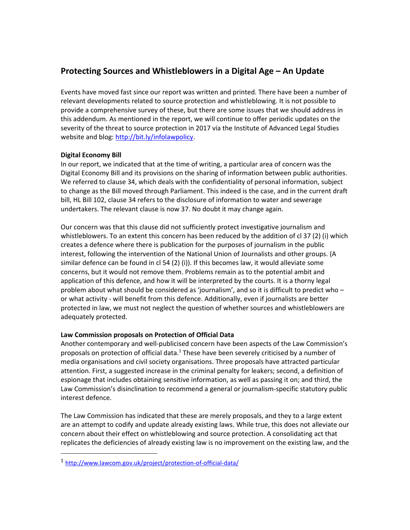## **Protecting Sources and Whistleblowers in a Digital Age – An Update**

Events have moved fast since our report was written and printed. There have been a number of relevant developments related to source protection and whistleblowing. It is not possible to provide a comprehensive survey of these, but there are some issues that we should address in this addendum. As mentioned in the report, we will continue to offer periodic updates on the severity of the threat to source protection in 2017 via the Institute of Advanced Legal Studies website and blog: [http://bit.ly/infolawpolicy.](http://bit.ly/infolawpolicy)

## **Digital Economy Bill**

1

In our report, we indicated that at the time of writing, a particular area of concern was the Digital Economy Bill and its provisions on the sharing of information between public authorities. We referred to clause 34, which deals with the confidentiality of personal information, subject to change as the Bill moved through Parliament. This indeed is the case, and in the current draft bill, HL Bill 102, clause 34 refers to the disclosure of information to water and sewerage undertakers. The relevant clause is now 37. No doubt it may change again.

Our concern was that this clause did not sufficiently protect investigative journalism and whistleblowers. To an extent this concern has been reduced by the addition of cl 37 (2) (i) which creates a defence where there is publication for the purposes of journalism in the public interest, following the intervention of the National Union of Journalists and other groups. (A similar defence can be found in cl 54 (2) (i)). If this becomes law, it would alleviate some concerns, but it would not remove them. Problems remain as to the potential ambit and application of this defence, and how it will be interpreted by the courts. It is a thorny legal problem about what should be considered as 'journalism', and so it is difficult to predict who – or what activity - will benefit from this defence. Additionally, even if journalists are better protected in law, we must not neglect the question of whether sources and whistleblowers are adequately protected.

## **Law Commission proposals on Protection of Official Data**

Another contemporary and well-publicised concern have been aspects of the Law Commission's proposals on protection of official data.<sup>1</sup> These have been severely criticised by a number of media organisations and civil society organisations. Three proposals have attracted particular attention. First, a suggested increase in the criminal penalty for leakers; second, a definition of espionage that includes obtaining sensitive information, as well as passing it on; and third, the Law Commission's disinclination to recommend a general or journalism-specific statutory public interest defence.

The Law Commission has indicated that these are merely proposals, and they to a large extent are an attempt to codify and update already existing laws. While true, this does not alleviate our concern about their effect on whistleblowing and source protection. A consolidating act that replicates the deficiencies of already existing law is no improvement on the existing law, and the

<sup>1</sup> <http://www.lawcom.gov.uk/project/protection-of-official-data/>